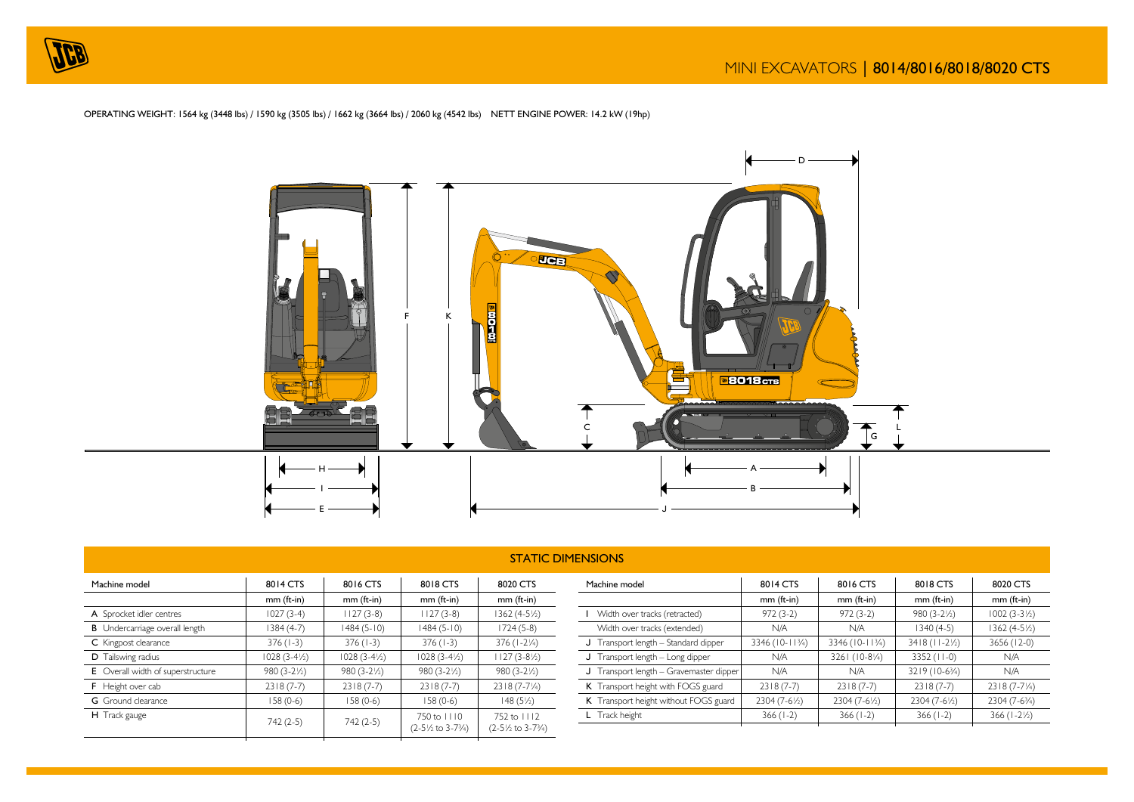





|                                                                            | <b>STATIC DIMENSIONS</b> |                        |                                                 |                                                         |                  |  |  |
|----------------------------------------------------------------------------|--------------------------|------------------------|-------------------------------------------------|---------------------------------------------------------|------------------|--|--|
| 8014 CTS<br>8018 CTS<br>8016 CTS<br>8020 CTS<br>Machine model<br>Machine m |                          |                        |                                                 |                                                         |                  |  |  |
|                                                                            | $mm$ (ft-in)             | $mm$ (ft-in)           | $mm$ (ft-in)                                    | $mm$ (ft-in)                                            |                  |  |  |
| A Sprocket idler centres                                                   | $1027(3-4)$              | $1127(3-8)$            | $1127(3-8)$                                     | 1362 (4-5½)                                             | Width o          |  |  |
| <b>B</b> Undercarriage overall length                                      | 1384 (4-7)               | $1484(5-10)$           | $1484(5-10)$                                    | $1724(5-8)$                                             | Width c          |  |  |
| C Kingpost clearance                                                       | $376(1-3)$               | $376(1-3)$             | $376(1-3)$                                      | $376(1-2\frac{1}{4})$                                   | J Transpo        |  |  |
| D Tailswing radius                                                         | $1028(3-4/2)$            | $1028(3-4\frac{1}{2})$ | $1028(3-4/2)$                                   | $1127(3-8/2)$                                           | J Transpo        |  |  |
| E Overall width of superstructure                                          | $980(3-2\frac{1}{2})$    | $980(3-2\frac{1}{2})$  | $980(3-2\frac{1}{2})$                           | $980(3-2\frac{1}{2})$                                   | J Transpo        |  |  |
| F Height over cab                                                          | $2318(7-7)$              | $2318(7-7)$            | $2318(7-7)$                                     | $2318(7-7\frac{1}{4})$                                  | K Transpo        |  |  |
| <b>G</b> Ground clearance                                                  | $158(0-6)$               | $158(0-6)$             | $158(0-6)$                                      | $148(5\frac{1}{2})$                                     | <b>K</b> Transpo |  |  |
| H Track gauge                                                              | $742(2-5)$               | $742(2-5)$             | 750 to 1110<br>$(2-5)/2$ to 3-7 $\frac{3}{4}$ ) | 752 to 1112<br>$(2-5\frac{1}{2}$ to 3-7 $\frac{3}{4}$ ) | L Track he       |  |  |

| Machine model                           | 8014 CTS        | 8016 CTS                | 8018 CTS                   | 8020 CTS                 |
|-----------------------------------------|-----------------|-------------------------|----------------------------|--------------------------|
|                                         | $mm$ (ft-in)    | $mm$ (ft-in)            | $mm$ (ft-in)               | $mm$ (ft-in)             |
| Width over tracks (retracted)           | $972(3-2)$      | $972(3-2)$              | $980(3-2\frac{1}{2})$      | $1002(3-3\frac{1}{2})$   |
| Width over tracks (extended)            | N/A             | N/A                     | $1340(4-5)$                | $1362(4-5\frac{1}{2})$   |
| J Transport length - Standard dipper    | 3346 (10-113/4) | 3346 (10-113/4)         | $3418 (11 - 2\frac{1}{2})$ | 3656 (12-0)              |
| J Transport length - Long dipper        | N/A             | 3261 (10-81/4)          | $3352$ (11-0)              | N/A                      |
| J Transport length - Gravemaster dipper | N/A             | N/A                     | 3219 (10-63/4)             | N/A                      |
| K Transport height with FOGS guard      | $2318(7-7)$     | $2318(7-7)$             | $2318(7-7)$                | $2318(7-7\frac{1}{4})$   |
| K Transport height without FOGS guard   | 2304 (7-6½)     | $2304 (7-6\frac{1}{2})$ | 2304 (7-6½)                | 2304 (7-63/4)            |
| L Track height                          | $366(1-2)$      | $366(1-2)$              | $366(1-2)$                 | $366 (1 - 2\frac{1}{2})$ |
|                                         |                 |                         |                            |                          |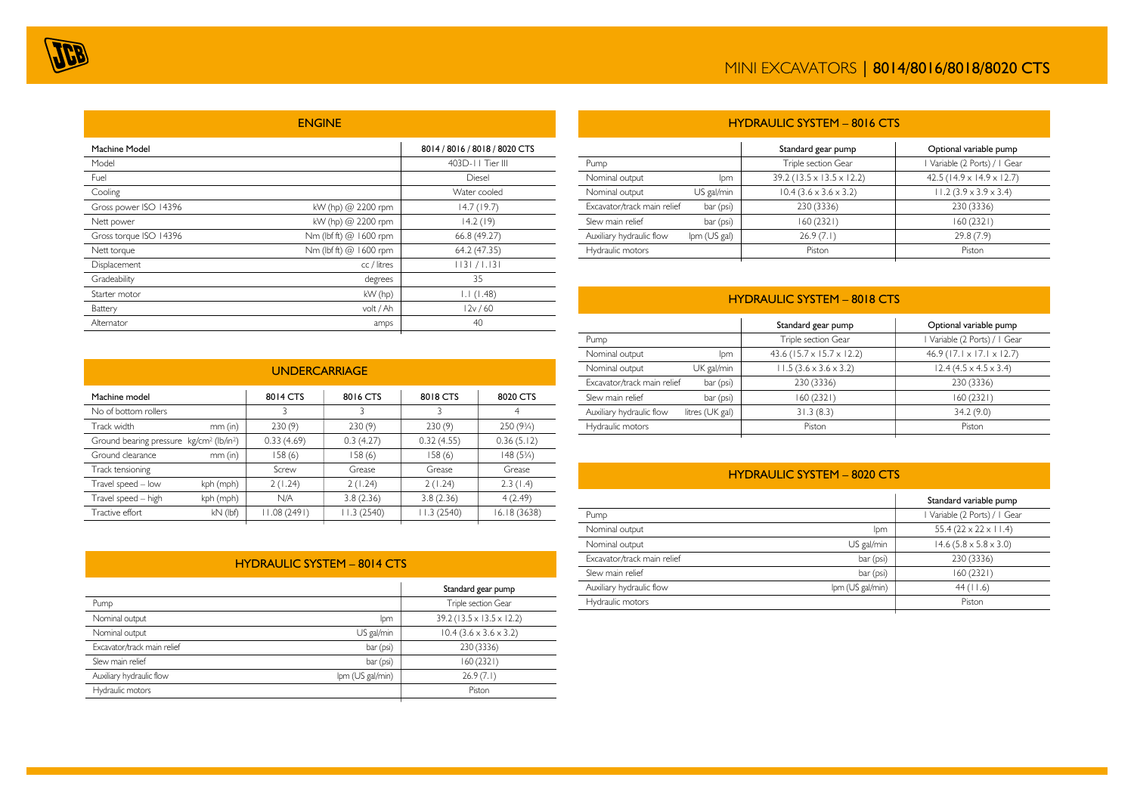|                        | <b>ENGINE</b>          |                               |
|------------------------|------------------------|-------------------------------|
| Machine Model          |                        | 8014 / 8016 / 8018 / 8020 CTS |
| Model                  |                        | 403D-11 Tier III              |
| Fuel                   |                        | Diesel                        |
| Cooling                |                        | Water cooled                  |
| Gross power ISO 14396  | kW (hp) @ 2200 rpm     | 14.7(19.7)                    |
| Nett power             | kW (hp) @ 2200 rpm     | 14.2(19)                      |
| Gross torque ISO 14396 | Nm (lbf ft) @ 1600 rpm | 66.8 (49.27)                  |
| Nett torque            | Nm (lbf ft) @ 1600 rpm | 64.2 (47.35)                  |
| Displacement           | cc / litres            | 1131 / 1.131                  |
| Gradeability           | degrees                | 35                            |
| Starter motor          | kW (hp)                | 1.1(1.48)                     |
| Battery                | volt / Ah              | 12v/60                        |
| Alternator             | amps                   | 40                            |

| <b>UNDERCARRIAGE</b>                                             |            |             |            |            |              |
|------------------------------------------------------------------|------------|-------------|------------|------------|--------------|
| 8014 CTS<br>8016 CTS<br>8018 CTS<br>Machine model<br>8020 CTS    |            |             |            |            |              |
| No of bottom rollers                                             |            | 3           | 3          | 3          | 4            |
| Track width                                                      | $mm$ (in)  | 230(9)      | 230(9)     | 230(9)     | 250 (93/4)   |
| Ground bearing pressure kg/cm <sup>2</sup> (lb/in <sup>2</sup> ) |            | 0.33(4.69)  | 0.3(4.27)  | 0.32(4.55) | 0.36(5.12)   |
| Ground clearance                                                 | $mm$ (in)  | 158(6)      | 158(6)     | 158(6)     | $148(5\%)$   |
| Track tensioning                                                 |            | Screw       | Grease     | Grease     | Grease       |
| Travel speed - low                                               | kph (mph)  | 2(1.24)     | 2(1.24)    | 2(1.24)    | 2.3(1.4)     |
| Travel speed - high                                              | kph (mph)  | N/A         | 3.8(2.36)  | 3.8(2.36)  | 4(2.49)      |
| Tractive effort                                                  | $kN$ (lbf) | 11.08(2491) | 11.3(2540) | 11.3(2540) | 16.18 (3638) |
|                                                                  |            |             |            |            |              |

### HYDRAULIC SYSTEM – 8014 CTS

|                  | Standard gear pump                     |
|------------------|----------------------------------------|
|                  | Triple section Gear                    |
| lpm              | 39.2 (13.5 x 13.5 x 12.2)              |
| US gal/min       | $10.4$ (3.6 $\times$ 3.6 $\times$ 3.2) |
| bar (psi)        | 230 (3336)                             |
| bar (psi)        | 160(2321)                              |
| Ipm (US gal/min) | 26.9(7.1)                              |
|                  | Piston                                 |
|                  |                                        |

| <b>HYDRAULIC SYSTEM - 8016 CTS</b>           |              |                                        |                                         |  |  |
|----------------------------------------------|--------------|----------------------------------------|-----------------------------------------|--|--|
| Optional variable pump<br>Standard gear pump |              |                                        |                                         |  |  |
| Pump                                         |              | Triple section Gear                    | Variable (2 Ports) /   Gear             |  |  |
| Nominal output                               | lpm          | $39.2(13.5 \times 13.5 \times 12.2)$   | 42.5 ( $14.9 \times 14.9 \times 12.7$ ) |  |  |
| Nominal output                               | US gal/min   | $10.4$ (3.6 $\times$ 3.6 $\times$ 3.2) | $11.2(3.9 \times 3.9 \times 3.4)$       |  |  |
| Excavator/track main relief                  | bar (psi)    | 230 (3336)                             | 230 (3336)                              |  |  |
| Slew main relief                             | bar (psi)    | 160(2321)                              | 160 (2321)                              |  |  |
| Auxiliary hydraulic flow                     | Ipm (US gal) | 26.9(7.1)                              | 29.8(7.9)                               |  |  |
| Hydraulic motors                             |              | Piston                                 | Piston                                  |  |  |
|                                              |              |                                        |                                         |  |  |

# HYDRAULIC SYSTEM – 8018 CTS

|                 | Standard gear pump                | Optional variable pump                 |
|-----------------|-----------------------------------|----------------------------------------|
|                 | Triple section Gear               | Variable (2 Ports) / I Gear            |
| lpm             | $43.6$ (15.7 x 15.7 x 12.2)       | $46.9$ (17.1 x 17.1 x 12.7)            |
| UK gal/min      | $11.5(3.6 \times 3.6 \times 3.2)$ | $12.4$ (4.5 $\times$ 4.5 $\times$ 3.4) |
| bar (psi)       | 230 (3336)                        | 230 (3336)                             |
| bar (psi)       | 160 (2321)                        | 160(2321)                              |
| litres (UK gal) | 31.3(8.3)                         | 34.2(9.0)                              |
|                 | Piston                            | Piston                                 |
|                 |                                   |                                        |

# HYDRAULIC SYSTEM – 8020 CTS

|                             |                  | Standard variable pump                 |
|-----------------------------|------------------|----------------------------------------|
| Pump                        |                  | Variable (2 Ports) / I Gear            |
| Nominal output              | lpm              | $55.4(22 \times 22 \times 11.4)$       |
| Nominal output              | US gal/min       | $14.6$ (5.8 $\times$ 5.8 $\times$ 3.0) |
| Excavator/track main relief | bar (psi)        | 230 (3336)                             |
| Slew main relief            | bar (psi)        | 160(2321)                              |
| Auxiliary hydraulic flow    | Ipm (US gal/min) | 44 (11.6)                              |
| Hydraulic motors            |                  | Piston                                 |
|                             |                  |                                        |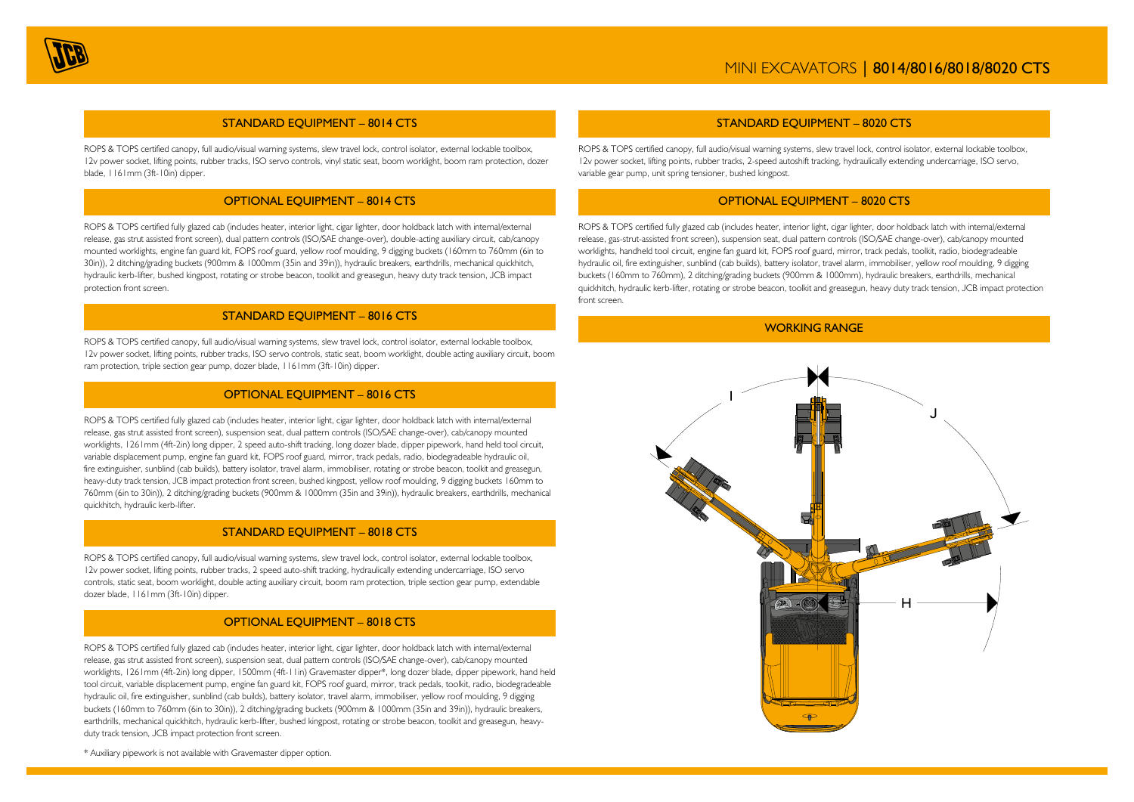

#### STANDARD EQUIPMENT – 8014 CTS

ROPS & TOPS certified canopy, full audio/visual warning systems, slew travel lock, control isolator, external lockable toolbox, 12v power socket, lifting points, rubber tracks, ISO servo controls, vinyl static seat, boom worklight, boom ram protection, dozer blade, 1161mm (3ft-10in) dipper.

### OPTIONAL EQUIPMENT – 8014 CTS

ROPS & TOPS certified fully glazed cab (includes heater, interior light, cigar lighter, door holdback latch with internal/external release, gas strut assisted front screen), dual pattern controls (ISO/SAE change-over), double-acting auxiliary circuit, cab/canopy mounted worklights, engine fan guard kit, FOPS roof guard, yellow roof moulding, 9 digging buckets (160mm to 760mm (6in to 30in)), 2 ditching/grading buckets (900mm & 1000mm (35in and 39in)), hydraulic breakers, earthdrills, mechanical quickhitch, hydraulic kerb-lifter, bushed kingpost, rotating or strobe beacon, toolkit and greasegun, heavy duty track tension, JCB impact protection front screen.

### STANDARD EQUIPMENT – 8016 CTS

ROPS & TOPS certified canopy, full audio/visual warning systems, slew travel lock, control isolator, external lockable toolbox, 12v power socket, lifting points, rubber tracks, ISO servo controls, static seat, boom worklight, double acting auxiliary circuit, boom ram protection, triple section gear pump, dozer blade, 1161mm (3ft-10in) dipper.

#### OPTIONAL EQUIPMENT – 8016 CTS

ROPS & TOPS certified fully glazed cab (includes heater, interior light, cigar lighter, door holdback latch with internal/external release, gas strut assisted front screen), suspension seat, dual pattern controls (ISO/SAE change-over), cab/canopy mounted worklights, 1261mm (4ft-2in) long dipper, 2 speed auto-shift tracking, long dozer blade, dipper pipework, hand held tool circuit, variable displacement pump, engine fan guard kit, FOPS roof guard, mirror, track pedals, radio, biodegradeable hydraulic oil, fire extinguisher, sunblind (cab builds), battery isolator, travel alarm, immobiliser, rotating or strobe beacon, toolkit and greasegun, heavy-duty track tension, JCB impact protection front screen, bushed kingpost, yellow roof moulding, 9 digging buckets 160mm to 760mm (6in to 30in)), 2 ditching/grading buckets (900mm & 1000mm (35in and 39in)), hydraulic breakers, earthdrills, mechanical quickhitch, hydraulic kerb-lifter.

### STANDARD EQUIPMENT – 8018 CTS

ROPS & TOPS certified canopy, full audio/visual warning systems, slew travel lock, control isolator, external lockable toolbox, 12v power socket, lifting points, rubber tracks, 2 speed auto-shift tracking, hydraulically extending undercarriage, ISO servo controls, static seat, boom worklight, double acting auxiliary circuit, boom ram protection, triple section gear pump, extendable dozer blade, 1161mm (3ft-10in) dipper.

#### OPTIONAL EQUIPMENT – 8018 CTS

ROPS & TOPS certified fully glazed cab (includes heater, interior light, cigar lighter, door holdback latch with internal/external release, gas strut assisted front screen), suspension seat, dual pattern controls (ISO/SAE change-over), cab/canopy mounted worklights, 1261mm (4ft-2in) long dipper, 1500mm (4ft-11in) Gravemaster dipper\*, long dozer blade, dipper pipework, hand held tool circuit, variable displacement pump, engine fan guard kit, FOPS roof guard, mirror, track pedals, toolkit, radio, biodegradeable hydraulic oil, fire extinguisher, sunblind (cab builds), battery isolator, travel alarm, immobiliser, yellow roof moulding, 9 digging buckets (160mm to 760mm (6in to 30in)), 2 ditching/grading buckets (900mm & 1000mm (35in and 39in)), hydraulic breakers, earthdrills, mechanical quickhitch, hydraulic kerb-lifter, bushed kingpost, rotating or strobe beacon, toolkit and greasegun, heavyduty track tension, JCB impact protection front screen.

#### STANDARD EQUIPMENT – 8020 CTS

ROPS & TOPS certified canopy, full audio/visual warning systems, slew travel lock, control isolator, external lockable toolbox, 12v power socket, lifting points, rubber tracks, 2-speed autoshift tracking, hydraulically extending undercarriage, ISO servo, variable gear pump, unit spring tensioner, bushed kingpost.

#### OPTIONAL EQUIPMENT – 8020 CTS

ROPS & TOPS certified fully glazed cab (includes heater, interior light, cigar lighter, door holdback latch with internal/external release, gas-strut-assisted front screen), suspension seat, dual pattern controls (ISO/SAE change-over), cab/canopy mounted worklights, handheld tool circuit, engine fan guard kit, FOPS roof guard, mirror, track pedals, toolkit, radio, biodegradeable hydraulic oil, fire extinguisher, sunblind (cab builds), battery isolator, travel alarm, immobiliser, yellow roof moulding, 9 digging buckets (160mm to 760mm), 2 ditching/grading buckets (900mm & 1000mm), hydraulic breakers, earthdrills, mechanical quickhitch, hydraulic kerb-lifter, rotating or strobe beacon, toolkit and greasegun, heavy duty track tension, JCB impact protection front screen.

WORKING RANGE



\* Auxiliary pipework is not available with Gravemaster dipper option.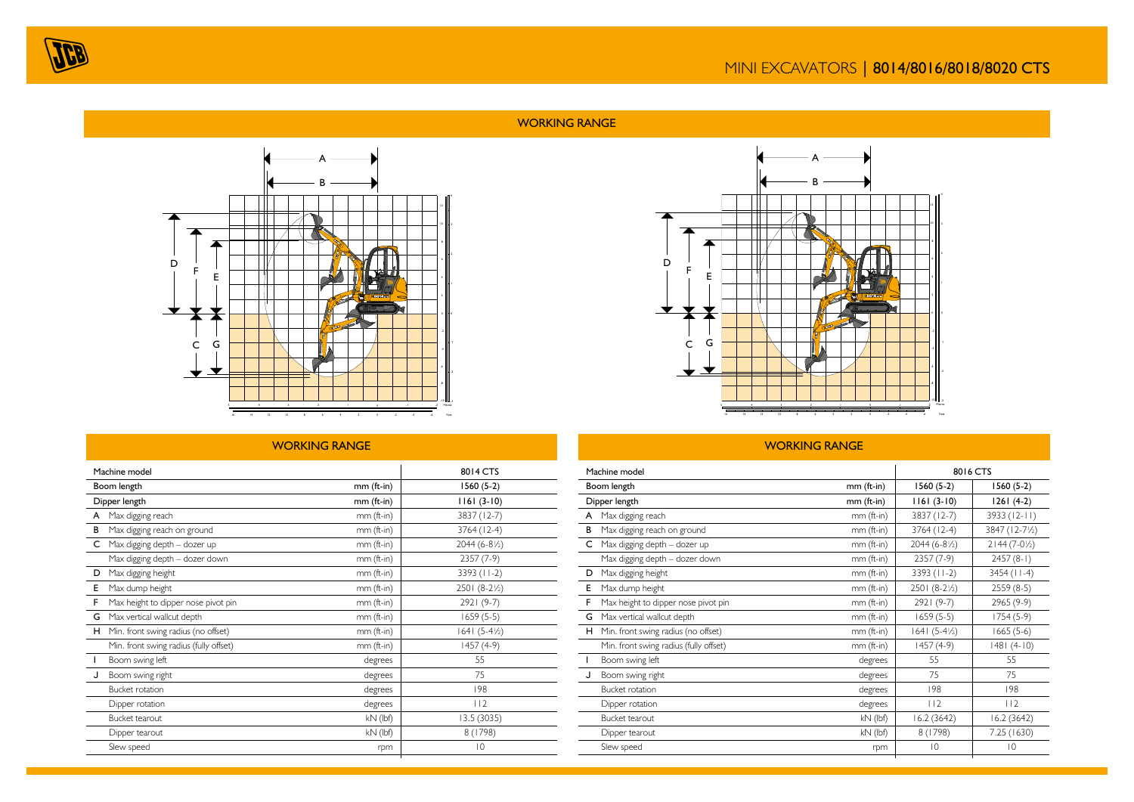

# WORKING RANGE



# WORKING RANGE

|   | Machine model                          | 8014 CTS     |                         |
|---|----------------------------------------|--------------|-------------------------|
|   | Boom length                            | mm (ft-in)   | $1560(5-2)$             |
|   | Dipper length                          | mm (ft-in)   | $1161(3-10)$            |
| A | Max digging reach                      | $mm$ (ft-in) | 3837 (12-7)             |
| В | Max digging reach on ground            | mm (ft-in)   | $3764(12-4)$            |
| C | Max digging depth - dozer up           | $mm$ (ft-in) | 2044 (6-8½)             |
|   | Max digging depth - dozer down         | $mm$ (ft-in) | $2357(7-9)$             |
| D | Max digging height                     | mm (ft-in)   | $3393 (11-2)$           |
| Е | Max dump height                        | $mm$ (ft-in) | 2501 (8-2½)             |
| F | Max height to dipper nose pivot pin    | $mm$ (ft-in) | $2921(9-7)$             |
| G | Max vertical wallcut depth             | mm (ft-in)   | $1659(5-5)$             |
| н | Min. front swing radius (no offset)    | mm (ft-in)   | $1641 (5-4\frac{1}{2})$ |
|   | Min. front swing radius (fully offset) | mm (ft-in)   | $1457(4-9)$             |
|   | Boom swing left                        | degrees      | 55                      |
| J | Boom swing right                       | degrees      | 75                      |
|   | <b>Bucket rotation</b>                 | degrees      | 198                     |
|   | Dipper rotation                        | degrees      | 112                     |
|   | <b>Bucket tearout</b>                  | $kN$ (lbf)   | 13.5 (3035)             |
|   | Dipper tearout                         | $kN$ (lbf)   | 8 (1798)                |
|   | Slew speed                             | rpm          | $\overline{0}$          |
|   |                                        |              |                         |



## WORKING RANGE

| Machine model |                                        |              | 8016 CTS                |                        |
|---------------|----------------------------------------|--------------|-------------------------|------------------------|
|               | Boom length                            | $mm$ (ft-in) | $1560(5-2)$             | $1560(5-2)$            |
|               | Dipper length                          | $mm$ (ft-in) | $1161(3-10)$            | $1261(4-2)$            |
| A             | Max digging reach                      | mm (ft-in)   | 3837 (12-7)             | 3933 (12-11)           |
| в             | Max digging reach on ground            | mm (ft-in)   | $3764(12-4)$            | 3847 (12-71/2)         |
| C             | Max digging depth - dozer up           | mm (ft-in)   | $2044(6-8/2)$           | $2144(7-0\frac{1}{2})$ |
|               | Max digging depth - dozer down         | mm (ft-in)   | $2357(7-9)$             | $2457(8-1)$            |
| D             | Max digging height                     | mm (ft-in)   | 3393 (11-2)             | $3454$ (11-4)          |
| Е             | Max dump height                        | mm (ft-in)   | $2501 (8-2\frac{1}{2})$ | $2559(8-5)$            |
| F             | Max height to dipper nose pivot pin    | mm (ft-in)   | $2921(9-7)$             | $2965(9-9)$            |
| G             | Max vertical wallcut depth             | mm (ft-in)   | $1659(5-5)$             | $1754(5-9)$            |
| н.            | Min. front swing radius (no offset)    | mm (ft-in)   | $1641 (5-4\frac{1}{2})$ | $1665(5-6)$            |
|               | Min. front swing radius (fully offset) | mm (ft-in)   | $1457(4-9)$             | $1481(4-10)$           |
| $\mathbf{I}$  | Boom swing left                        | degrees      | 55                      | 55                     |
| J             | Boom swing right                       | degrees      | 75                      | 75                     |
|               | <b>Bucket rotation</b>                 | degrees      | 198                     | 198                    |
|               | Dipper rotation                        | degrees      | $ 12\rangle$            | $ 12\rangle$           |
|               | Bucket tearout                         | $kN$ (lbf)   | 16.2(3642)              | 16.2(3642)             |
|               | Dipper tearout                         | $kN$ (lbf)   | 8 (1798)                | 7.25 (1630)            |
|               | Slew speed                             | rpm          | $ 0\rangle$             | $ 0\rangle$            |
|               |                                        |              |                         |                        |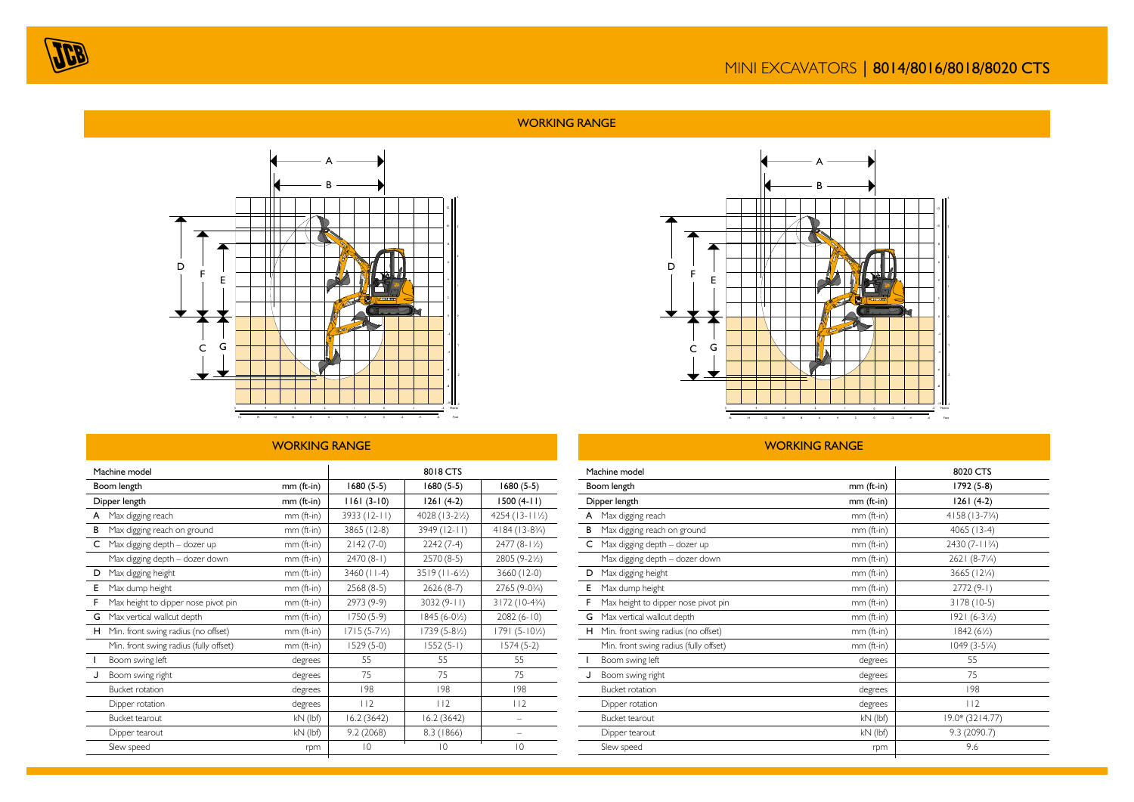

# WORKING RANGE



# WORKING RANGE

|    | Machine model                          |              | 8018 CTS               |                        |                         |
|----|----------------------------------------|--------------|------------------------|------------------------|-------------------------|
|    | Boom length                            | $mm$ (ft-in) | $1680(5-5)$            | $1680(5-5)$            | $1680(5-5)$             |
|    | Dipper length                          | $mm$ (ft-in) | $1161(3-10)$           | $1261(4-2)$            | $1500(4-11)$            |
|    | A Max digging reach                    | $mm$ (ft-in) | $3933 (12 - 11)$       | 4028 (13-21/2)         | $4254(13-11/2)$         |
| в  | Max digging reach on ground            | $mm$ (ft-in) | 3865 (12-8)            | 3949 (12-11)           | $4184(13-8\frac{3}{4})$ |
| C. | Max digging depth - dozer up           | mm (ft-in)   | $2142(7-0)$            | $2242(7-4)$            | $2477(8-1\frac{1}{2})$  |
|    | Max digging depth - dozer down         | mm (ft-in)   | $2470(8-1)$            | $2570(8-5)$            | 2805 (9-21/2)           |
| D  | Max digging height                     | mm (ft-in)   | $3460$ (11-4)          | $3519 (11-6\%)$        | 3660 (12-0)             |
| Е  | Max dump height                        | $mm$ (ft-in) | $2568(8-5)$            | $2626(8-7)$            | 2765 (9-03/4)           |
| F. | Max height to dipper nose pivot pin    | mm (ft-in)   | 2973 (9-9)             | $3032(9-11)$           | 3172 (10-43/4)          |
| G  | Max vertical wallcut depth             | mm (ft-in)   | $1750(5-9)$            | $1845(6-0\frac{1}{2})$ | $2082(6-10)$            |
|    | H Min. front swing radius (no offset)  | mm (ft-in)   | $1715(5-7\frac{1}{2})$ | 1739 (5-8½)            | $1791(5-10\%)$          |
|    | Min. front swing radius (fully offset) | mm (ft-in)   | $1529(5-0)$            | $1552(5-1)$            | $1574(5-2)$             |
|    | Boom swing left                        | degrees      | 55                     | 55                     | 55                      |
|    | Boom swing right                       | degrees      | 75                     | 75                     | 75                      |
|    | <b>Bucket rotation</b>                 | degrees      | 198                    | 198                    | 198                     |
|    | Dipper rotation                        | degrees      | $ 12\rangle$           | 112                    | 112                     |
|    | Bucket tearout                         | $kN$ (lbf)   | 16.2(3642)             | 16.2(3642)             |                         |
|    | Dipper tearout                         | $kN$ (lbf)   | 9.2(2068)              | 8.3 (1866)             |                         |
|    | Slew speed                             | rpm          | $\overline{10}$        | 10                     | $\overline{0}$          |



## WORKING RANGE

|              | Machine model                          | 8020 CTS   |                         |
|--------------|----------------------------------------|------------|-------------------------|
|              | Boom length                            | mm (ft-in) | 1792 (5-8)              |
|              | Dipper length                          | mm (ft-in) | $1261(4-2)$             |
| A            | Max digging reach                      | mm (ft-in) | 4158 (13-73/4)          |
| В            | Max digging reach on ground            | mm (ft-in) | $4065(13-4)$            |
| C            | Max digging depth - dozer up           | mm (ft-in) | 2430 (7-113/4)          |
|              | Max digging depth - dozer down         | mm (ft-in) | $2621 (8-7\frac{1}{4})$ |
| D            | Max digging height                     | mm (ft-in) | 3665 (121/4)            |
| Е            | Max dump height                        | mm (ft-in) | $2772(9-1)$             |
| F            | Max height to dipper nose pivot pin    | mm (ft-in) | $3178(10-5)$            |
| G            | Max vertical wallcut depth             | mm (ft-in) | $1921 (6-3\frac{1}{2})$ |
| н.           | Min. front swing radius (no offset)    | mm (ft-in) | $1842(6\%)$             |
|              | Min. front swing radius (fully offset) | mm (ft-in) | $1049(3-5\frac{1}{4})$  |
| $\mathbf{I}$ | Boom swing left                        | degrees    | 55                      |
|              | Boom swing right                       | degrees    | 75                      |
|              | <b>Bucket rotation</b>                 | degrees    | 198                     |
|              | Dipper rotation                        | degrees    | 112                     |
|              | <b>Bucket tearout</b>                  | kN (lbf)   | 19.0* (3214.77)         |
|              | Dipper tearout                         | $kN$ (lbf) | 9.3 (2090.7)            |
|              | Slew speed                             | rpm        | 9.6                     |
|              |                                        |            |                         |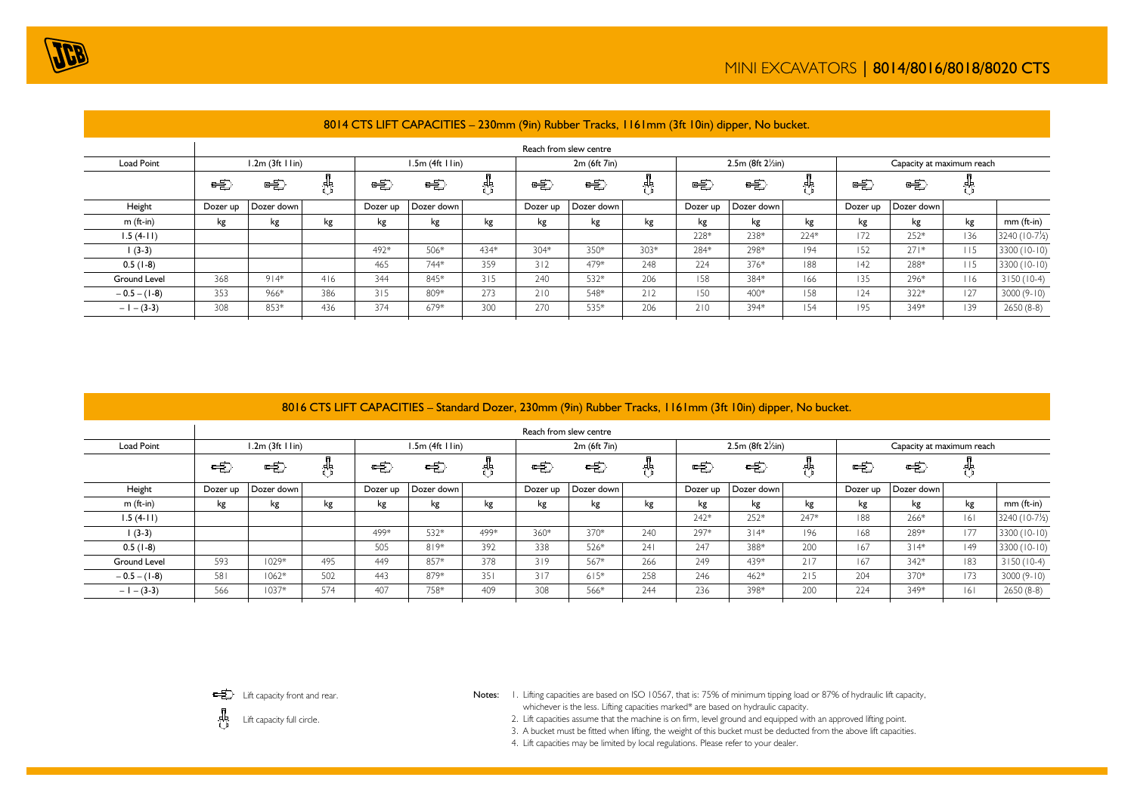

|                   |          |                       |     |          |                               |      |              | Reach from slew centre |        |                                |            |      |                           |            |     |               |
|-------------------|----------|-----------------------|-----|----------|-------------------------------|------|--------------|------------------------|--------|--------------------------------|------------|------|---------------------------|------------|-----|---------------|
| <b>Load Point</b> |          | $1.2m$ (3ft $1 lin$ ) |     |          | $1.5m$ (4ft $1 \text{ lin}$ ) |      | 2m (6ft 7in) |                        |        | $2.5m$ (8ft $2\frac{1}{2}in$ ) |            |      | Capacity at maximum reach |            |     |               |
|                   | 电        | 电                     |     | 电        | 电                             |      | 电            | 宅                      | ö      | 咤                              | 电          | 巺    | 电                         | 咤          |     |               |
| Height            | Dozer up | Dozer down            |     | Dozer up | Dozer down                    |      | Dozer up     | Dozer down             |        | Dozer up                       | Dozer down |      | Dozer up                  | Dozer down |     |               |
| $m$ (ft-in)       | kg       | kg                    | kg  | kg       | kg                            | kg   | kg           | kg                     | kg     | kg                             | kg         | kg   | kg                        | kg         | kg  | $mm$ (ft-in)  |
| $1.5(4-11)$       |          |                       |     |          |                               |      |              |                        |        | 228*                           | 238*       | 224* | 172                       | 252*       | 136 | 3240 (10-7/2) |
| $(3-3)$           |          |                       |     | 492*     | 506*                          | 434* | 304*         | 350*                   | $303*$ | 284*                           | 298*       | 194  | 152                       | $271*$     | 115 | 3300 (10-10)  |
| $0.5(1-8)$        |          |                       |     | 465      | 744*                          | 359  | 312          | 479*                   | 248    | 224                            | 376*       | 188  | 42                        | 288*       | 115 | 3300 (10-10)  |
| Ground Level      | 368      | $914*$                | 416 | 344      | 845*                          | 315  | 240          | 532*                   | 206    | 158                            | 384*       | 166  | 135                       | 296*       | 116 | $3150(10-4)$  |
| $-0.5 - (1-8)$    | 353      | 966*                  | 386 | 315      | 809*                          | 273  | 210          | 548*                   | 212    | 150                            | 400*       | 158  | 124                       | $322*$     | 127 | $3000(9-10)$  |
| $-1 - (3-3)$      | 308      | 853*                  | 436 | 374      | 679*                          | 300  | 270          | 535*                   | 206    | 210                            | 394*       | 154  | 195                       | 349*       | 139 | $2650(8-8)$   |
|                   |          |                       |     |          |                               |      |              |                        |        |                                |            |      |                           |            |     |               |

### 8014 CTS LIFT CAPACITIES – 230mm (9in) Rubber Tracks, 1161mm (3ft 10in) dipper, No bucket.

# 8016 CTS LIFT CAPACITIES – Standard Dozer, 230mm (9in) Rubber Tracks, 1161mm (3ft 10in) dipper, No bucket.

|                     |          |                       |     |          |                               |              |          | Reach from slew centre |                                |          |            |                           |          |            |     |              |
|---------------------|----------|-----------------------|-----|----------|-------------------------------|--------------|----------|------------------------|--------------------------------|----------|------------|---------------------------|----------|------------|-----|--------------|
| Load Point          |          | $1.2m$ (3ft $1 lin$ ) |     |          | $1.5m$ (4ft $1 \text{ lin}$ ) | 2m (6ft 7in) |          |                        | $2.5m$ (8ft $2\frac{1}{2}in$ ) |          |            | Capacity at maximum reach |          |            |     |              |
|                     | 乓        | 宅                     |     | 电        | 电                             |              | 三        | 电                      |                                | 电        | -5         | 吿                         | 电        | 韦          |     |              |
| Height              | Dozer up | Dozer down            |     | Dozer up | Dozer down                    |              | Dozer up | Dozer down             |                                | Dozer up | Dozer down |                           | Dozer up | Dozer down |     |              |
| $m$ (ft-in)         | kg       | kg                    | kg  | kg       | kg                            | kg           | kg       | kg                     | kg                             | kg       | kg         | kg                        | kg       | kg         | kg  | $mm$ (ft-in) |
| $1.5(4-11)$         |          |                       |     |          |                               |              |          |                        |                                | 242*     | 252*       | 247*                      | 188      | 266*       | 6   | 3240 (10-7½) |
| $(3-3)$             |          |                       |     | 499*     | 532*                          | 499*         | 360*     | 370*                   | 240                            | 297*     | $314*$     | 196                       | 68       | 289*       | 177 | 3300 (10-10) |
| $0.5(1-8)$          |          |                       |     | 505      | $819*$                        | 392          | 338      | 526*                   | 241                            | 247      | 388*       | 200                       | 167      | $314*$     | 49  | 3300 (10-10) |
| <b>Ground Level</b> | 593      | $1029*$               | 495 | 449      | 857*                          | 378          | 319      | 567*                   | 266                            | 249      | 439*       | 217                       | 167      | 342*       | 183 | $3150(10-4)$ |
| $-0.5 - (1-8)$      | 581      | $1062*$               | 502 | 443      | 879*                          | 351          | 317      | $615*$                 | 258                            | 246      | $462*$     | 215                       | 204      | 370*       | 173 | $3000(9-10)$ |
| $-1 - (3-3)$        | 566      | $1037*$               | 574 | 407      | 758*                          | 409          | 308      | 566*                   | 244                            | 236      | 398*       | 200                       | 224      | 349*       | 6   | $2650(8-8)$  |



**ED** Lift capacity front and rear.

- Notes: I. Lifting capacities are based on ISO 10567, that is: 75% of minimum tipping load or 87% of hydraulic lift capacity, whichever is the less. Lifting capacities marked\* are based on hydraulic capacity.
	- 2. Lift capacities assume that the machine is on firm, level ground and equipped with an approved lifting point.
	- 3. A bucket must be fitted when lifting, the weight of this bucket must be deducted from the above lift capacities.
	- 4. Lift capacities may be limited by local regulations. Please refer to your dealer.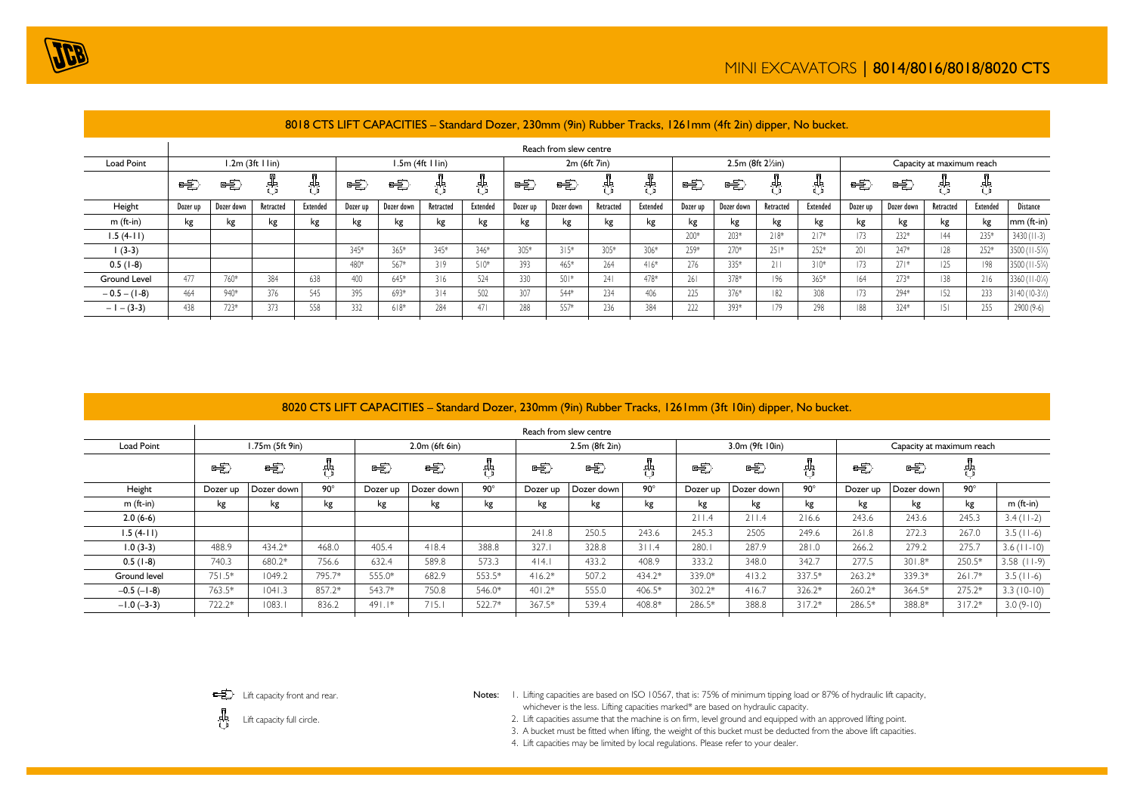

|                     | Reach from slew centre |            |                               |          |          |            |                               |          |              |            |           |          |          |            |                                |          |                           |                   |           |          |                            |
|---------------------|------------------------|------------|-------------------------------|----------|----------|------------|-------------------------------|----------|--------------|------------|-----------|----------|----------|------------|--------------------------------|----------|---------------------------|-------------------|-----------|----------|----------------------------|
| Load Point          |                        |            | $1.2m$ (3ft $1 \text{ lin}$ ) |          |          |            | $1.5m$ (4ft $1 \text{ lin}$ ) |          | 2m (6ft 7in) |            |           |          |          |            | $2.5m$ (8ft $2\frac{1}{2}in$ ) |          | Capacity at maximum reach |                   |           |          |                            |
|                     | 电                      | 唾          |                               |          | 电        | 电          |                               |          | 电            | 电          |           | 鼎        | 电        | 电          |                                |          | 电                         | 恬                 |           |          |                            |
| Height              | Dozer up               | Dozer down | Retracted                     | Extended | Dozer up | Dozer down | Retracted                     | Extended | Dozer up     | Dozer down | Retracted | Extended | Dozer up | Dozer down | Retracted                      | Extended | Dozer up                  | Dozer down        | Retracted | Extended | <b>Distance</b>            |
| $m$ (ft-in)         | kg                     | kg         | kg                            | kg       | kg       | kg         | kg                            | kg       | kg           | kg         | kg        | kg       | kg       | kg         | kg                             | kg       | kg                        | kg                | kg        | kg       | $mm$ (ft-in)               |
| $1.5(4-11)$         |                        |            |                               |          |          |            |                               |          |              |            |           |          | 200*     | 203*       | $218*$                         | $717*$   | 173                       | $232*$            | 44        | 235*     | $3430 (11-3)$              |
| $1(3-3)$            |                        |            |                               |          | 345*     | 365*       | 345*                          | 346*     | $305*$       | $315*$     | 305*      | 306*     | 259*     | $270*$     | $251*$                         | $252*$   | 201                       | 247*              | 128       | $252*$   | 3500 (11-5 <sup>3</sup> /4 |
| $0.5(1-8)$          |                        |            |                               |          | 480*     | 567*       | 319                           | $510*$   | 393          | 465*       | 264       | $416*$   | 276      | 335*       | 211                            | $310*$   | 173                       | $27$ <sup>*</sup> | 125.      | 198      | 3500 ( $11-5\frac{3}{4}$ ) |
| <b>Ground Level</b> | 477                    | 760*       | 384                           | 638      | 400      | 645*       | 316                           | 524      | 330          | $501*$     | 241       | 478*     | 261      | 378*       | 196                            | 365*     | 64                        | $273*$            | 138       | 216      | 3360 (11-0/4)              |
| $-0.5 - (1-8)$      | 464                    | 940*       | 376                           | 545      | 395      | 693*       | 314                           | 502      | 307          | 544*       | 234       | 406      | 225      | 376*       | 182                            | 308      | 173                       | 294*              | 152       | 233      | $3140(10-3\%)$             |
| $-1 - (3-3)$        | 438                    | $723*$     | 373                           | 558      | 332      | $618*$     | 284                           | 471      | 288          | 557*       | 236       | 384      | 222      | 393*       | 179                            | 298      | 188                       | 324*              | 5         | 255      | 2900 (9-6)                 |
|                     |                        |            |                               |          |          |            |                               |          |              |            |           |          |          |            |                                |          |                           |                   |           |          |                            |

### 8018 CTS LIFT CAPACITIES – Standard Dozer, 230mm (9in) Rubber Tracks, 1261mm (4ft 2in) dipper, No bucket.

### 8020 CTS LIFT CAPACITIES – Standard Dozer, 230mm (9in) Rubber Tracks, 1261mm (3ft 10in) dipper, No bucket.

|                   | Reach from slew centre |                   |            |          |                  |            |          |                |            |          |                 |            |          |                           |            |                   |  |
|-------------------|------------------------|-------------------|------------|----------|------------------|------------|----------|----------------|------------|----------|-----------------|------------|----------|---------------------------|------------|-------------------|--|
| Load Point        |                        | $1.75m$ (5ft 9in) |            |          | $2.0m$ (6ft 6in) |            |          | 2.5m (8ft 2in) |            |          | 3.0m (9ft 10in) |            |          | Capacity at maximum reach |            |                   |  |
|                   | 咤                      | 电                 |            | e\$      | 毛                |            | ⊫        | -5             | 中          | 电        | -50             | 齿          | 毛        | 咤                         |            |                   |  |
| Height            | Dozer up               | Dozer down        | $90^\circ$ | Dozer up | Dozer down       | $90^\circ$ | Dozer up | Dozer down     | $90^\circ$ | Dozer up | Dozer down      | $90^\circ$ | Dozer up | Dozer down                | $90^\circ$ |                   |  |
| $m$ (ft-in)       | kg                     | kg                | kg         | kg       | kg               | kg         | kg       | kg             | kg         | kg       | kg              | kg         | kg       | kg                        | kg         | $m$ (ft-in)       |  |
| $2.0(6-6)$        |                        |                   |            |          |                  |            |          |                |            | 211.4    | 211.4           | 216.6      | 243.6    | 243.6                     | 245.3      | $3.4(11-2)$       |  |
| $1.5(4-11)$       |                        |                   |            |          |                  |            | 241.8    | 250.5          | 243.6      | 245.3    | 2505            | 249.6      | 261.8    | 272.3                     | 267.0      | $3.5(11-6)$       |  |
| $1.0(3-3)$        | 488.9                  | $434.2*$          | 468.0      | 405.4    | 418.4            | 388.8      | 327.1    | 328.8          | 311.4      | 280.     | 287.9           | 281.0      | 266.2    | 279.2                     | 275.7      | $3.6$ ( $11-10$ ) |  |
| $0.5(1-8)$        | 740.3                  | 680.2*            | 756.6      | 632.4    | 589.8            | 573.3      | 4 4.1    | 433.2          | 408.9      | 333.2    | 348.0           | 342.7      | 277.5    | $301.8*$                  | 250.5*     | $3.58$ (11-9)     |  |
| Ground level      | $751.5*$               | 1049.2            | 795.7*     | 555.0*   | 682.9            | 553.5*     | $416.2*$ | 507.2          | 434.2*     | 339.0*   | 413.2           | 337.5*     | $263.2*$ | 339.3*                    | $261.7*$   | $3.5(11-6)$       |  |
| $-0.5$ ( $-1-8$ ) | 763.5*                 | 1041.3            | 857.2*     | 543.7*   | 750.8            | 546.0*     | $401.2*$ | 555.0          | 406.5*     | $302.2*$ | 416.7           | 326.2*     | $260.2*$ | 364.5*                    | 275.2*     | $3.3(10-10)$      |  |
| $-1.0(-3-3)$      | $722.2*$               | 1083.1            | 836.2      | $491.1*$ | 715.             | 522.7*     | 367.5*   | 539.4          | 408.8*     | 286.5*   | 388.8           | $317.2*$   | 286.5*   | 388.8*                    | $317.2*$   | $3.0(9-10)$       |  |
|                   |                        |                   |            |          |                  |            |          |                |            |          |                 |            |          |                           |            |                   |  |



Notes: I. Lifting capacities are based on ISO 10567, that is: 75% of minimum tipping load or 87% of hydraulic lift capacity, whichever is the less. Lifting capacities marked\* are based on hydraulic capacity.

Lift capacity full circle.

2. Lift capacities assume that the machine is on firm, level ground and equipped with an approved lifting point.

3. A bucket must be fitted when lifting, the weight of this bucket must be deducted from the above lift capacities.

4. Lift capacities may be limited by local regulations. Please refer to your dealer.